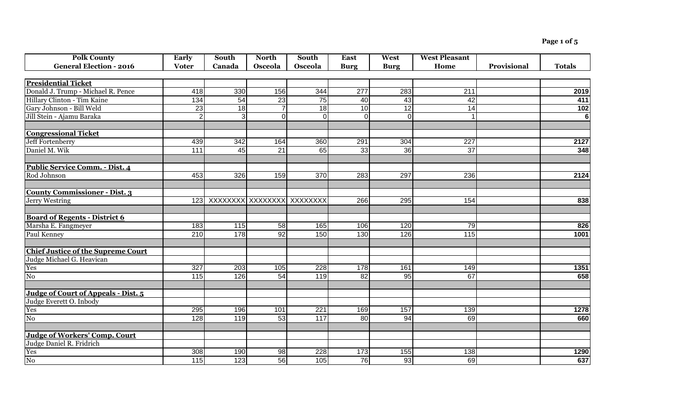**Page 1 of 5**

| <b>Polk County</b>                        | <b>Early</b>   | South                          | <b>North</b>    | South             | <b>East</b>     | West           | <b>West Pleasant</b> |             |                  |
|-------------------------------------------|----------------|--------------------------------|-----------------|-------------------|-----------------|----------------|----------------------|-------------|------------------|
| <b>General Election - 2016</b>            | <b>Voter</b>   | Canada                         | Osceola         | Osceola           | <b>Burg</b>     | <b>Burg</b>    | Home                 | Provisional | <b>Totals</b>    |
|                                           |                |                                |                 |                   |                 |                |                      |             |                  |
| <b>Presidential Ticket</b>                |                |                                |                 |                   |                 |                |                      |             |                  |
| Donald J. Trump - Michael R. Pence        | 418            | 330                            | 156             | 344               | 277             | 283            | 211                  |             | 2019             |
| Hillary Clinton - Tim Kaine               | 134            | 54                             | 23              | 75                | 40              | 43             | 42                   |             | 411              |
| Gary Johnson - Bill Weld                  | 23             | 18                             | $\overline{7}$  | 18                | 10              | 12             | 14                   |             | 102              |
| Jill Stein - Ajamu Baraka                 | 2 <sub>l</sub> | 3 <sup>1</sup>                 | $\overline{0}$  | $\overline{0}$    | $\overline{0}$  | $\overline{0}$ |                      |             | $\overline{6}$   |
|                                           |                |                                |                 |                   |                 |                |                      |             |                  |
| <b>Congressional Ticket</b>               |                |                                |                 |                   |                 |                |                      |             |                  |
| Jeff Fortenberry                          | 439            | 342                            | 164             | 360               | 291             | 304            | 227                  |             | 2127             |
| Daniel M. Wik                             | 111            | 45                             | $\overline{21}$ | 65                | 33              | 36             | 37                   |             | 348              |
|                                           |                |                                |                 |                   |                 |                |                      |             |                  |
| Public Service Comm. - Dist. 4            |                |                                |                 |                   |                 |                |                      |             |                  |
| Rod Johnson                               | 453            | 326                            | 159             | 370               | 283             | 297            | 236                  |             | 2124             |
|                                           |                |                                |                 |                   |                 |                |                      |             |                  |
| <b>County Commissioner - Dist. 3</b>      |                |                                |                 |                   |                 |                |                      |             |                  |
| Jerry Westring                            |                | 123 XXXXXXXX XXXXXXXX XXXXXXXX |                 |                   | 266             | 295            | 154                  |             | 838              |
|                                           |                |                                |                 |                   |                 |                |                      |             |                  |
| <b>Board of Regents - District 6</b>      |                |                                |                 |                   |                 |                |                      |             |                  |
| Marsha E. Fangmeyer                       | 183            | 115                            | 58              | 165               | 106             | 120            | 79                   |             | 826              |
| Paul Kenney                               | 210            | 178                            | 92              | 150               | 130             | 126            | $\overline{115}$     |             | 1001             |
|                                           |                |                                |                 |                   |                 |                |                      |             |                  |
| <b>Chief Justice of the Supreme Court</b> |                |                                |                 |                   |                 |                |                      |             |                  |
| Judge Michael G. Heavican                 |                |                                |                 |                   |                 |                |                      |             |                  |
| Yes                                       | 327            | 203                            | 105             | 228               | 178             | 161            | 149                  |             | 1351             |
| No                                        | 115            | 126                            | 54              | 119               | $\overline{82}$ | 95             | 67                   |             | 658              |
|                                           |                |                                |                 |                   |                 |                |                      |             |                  |
| Judge of Court of Appeals - Dist. 5       |                |                                |                 |                   |                 |                |                      |             |                  |
| Judge Everett O. Inbody                   |                |                                |                 |                   |                 |                |                      |             |                  |
| Yes                                       | 295            | 196                            | 101             | $\overline{221}$  | 169             | 157            | 139                  |             | 1278             |
| N <sub>0</sub>                            | 128            | 119                            | 53              | $\frac{117}{117}$ | 80              | 94             | 69                   |             | 660              |
|                                           |                |                                |                 |                   |                 |                |                      |             |                  |
| <b>Judge of Workers' Comp. Court</b>      |                |                                |                 |                   |                 |                |                      |             |                  |
| Judge Daniel R. Fridrich                  |                |                                |                 |                   |                 |                |                      |             |                  |
| Yes                                       | 308            | 190                            | 98              | 228               | 173             | 155            | 138                  |             | 1290             |
| $\overline{N_0}$                          | 115            | 123                            | 56              | 105               | 76              | 93             | 69                   |             | $\overline{637}$ |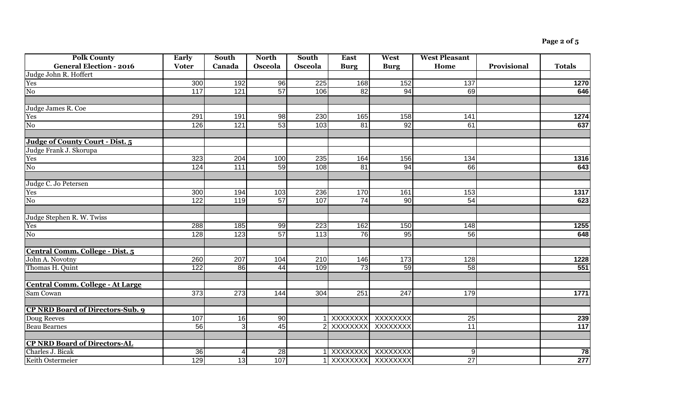| <b>Polk County</b>                      | <b>Early</b>     | South            | <b>North</b>    | South            | <b>East</b>         | West                | <b>West Pleasant</b> |             |                  |
|-----------------------------------------|------------------|------------------|-----------------|------------------|---------------------|---------------------|----------------------|-------------|------------------|
| <b>General Election - 2016</b>          | <b>Voter</b>     | Canada           | Osceola         | Osceola          | <b>Burg</b>         | <b>Burg</b>         | Home                 | Provisional | <b>Totals</b>    |
| Judge John R. Hoffert                   |                  |                  |                 |                  |                     |                     |                      |             |                  |
| Yes                                     | 300              | 192              | 96              | 225              | 168                 | 152                 | 137                  |             | 1270             |
| $\overline{No}$                         | 117              | 121              | $\overline{57}$ | 106              | 82                  | 94                  | 69                   |             | 646              |
|                                         |                  |                  |                 |                  |                     |                     |                      |             |                  |
| Judge James R. Coe                      |                  |                  |                 |                  |                     |                     |                      |             |                  |
| Yes                                     | 291              | 191              | 98              | 230              | 165                 | 158                 | 141                  |             | 1274             |
| N <sub>0</sub>                          | 126              | 121              | 53              | 103              | 81                  | 92                  | 61                   |             | 637              |
| Judge of County Court - Dist. 5         |                  |                  |                 |                  |                     |                     |                      |             |                  |
| Judge Frank J. Skorupa                  |                  |                  |                 |                  |                     |                     |                      |             |                  |
| Yes                                     | 323              | 204              | 100             | 235              | 164                 | 156                 | 134                  |             | 1316             |
| ${\rm No}$                              | 124              | $\overline{111}$ | 59              | 108              | 81                  | 94                  | 66                   |             | 643              |
| Judge C. Jo Petersen                    |                  |                  |                 |                  |                     |                     |                      |             |                  |
| Yes                                     | 300              | 194              | 103             | 236              | 170                 | 161                 | 153                  |             | 1317             |
| $\overline{N_{0}}$                      | 122              | 119              | 57              | 107              | 74                  | 90                  | 54                   |             | 623              |
| Judge Stephen R. W. Twiss               |                  |                  |                 |                  |                     |                     |                      |             |                  |
| Yes                                     | 288              | 185              | 99              | 223              | 162                 | 150                 | 148                  |             | 1255             |
| N <sub>0</sub>                          | 128              | 123              | 57              | $\overline{113}$ | 76                  | 95                  | 56                   |             | 648              |
| Central Comm. College - Dist. 5         |                  |                  |                 |                  |                     |                     |                      |             |                  |
| John A. Novotny                         | 260              | 207              | 104             | 210              | 146                 | 173                 | 128                  |             | 1228             |
| Thomas H. Quint                         | $\overline{122}$ | 86               | 44              | 109              | 73                  | 59                  | 58                   |             | 551              |
| <b>Central Comm. College - At Large</b> |                  |                  |                 |                  |                     |                     |                      |             |                  |
| Sam Cowan                               | 373              | 273              | 144             | 304              | 251                 | $\overline{247}$    | 179                  |             | 1771             |
| <b>CP NRD Board of Directors-Sub. 9</b> |                  |                  |                 |                  |                     |                     |                      |             |                  |
| Doug Reeves                             | 107              | 16               | 90              |                  | 1 XXXXXXXX XXXXXXXX |                     | 25                   |             | 239              |
| <b>Beau Bearnes</b>                     | 56               | 3                | 45              |                  | 2 XXXXXXXX          | XXXXXXX             | 11                   |             | $\overline{117}$ |
|                                         |                  |                  |                 |                  |                     |                     |                      |             |                  |
| <b>CP NRD Board of Directors-AL</b>     |                  |                  |                 |                  |                     |                     |                      |             |                  |
| Charles J. Bicak                        | 36               | 4                | 28              |                  | XXXXXXX             | XXXXXXX             | $\overline{9}$       |             | 78               |
| Keith Ostermeier                        | 129              | 13               | 107             |                  |                     | 1 XXXXXXXX XXXXXXXX | 27                   |             | 277              |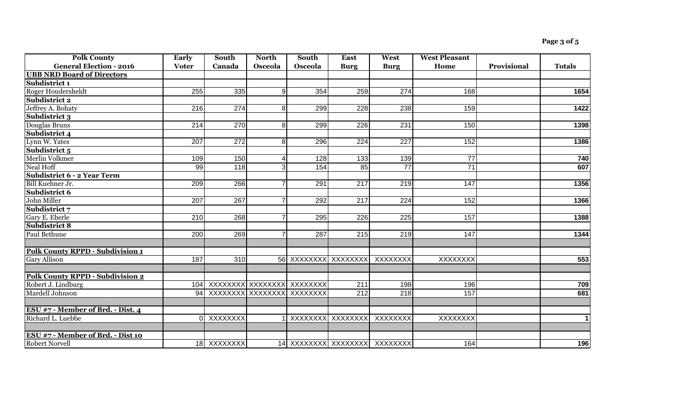| <b>Polk County</b>                      | <b>Early</b> | South                          | <b>North</b>   | South                | <b>East</b>       | West                           | <b>West Pleasant</b> |             |               |
|-----------------------------------------|--------------|--------------------------------|----------------|----------------------|-------------------|--------------------------------|----------------------|-------------|---------------|
| <b>General Election - 2016</b>          | <b>Voter</b> | Canada                         | Osceola        | Osceola              | <b>Burg</b>       | <b>Burg</b>                    | Home                 | Provisional | <b>Totals</b> |
| <b>UBB NRD Board of Directors</b>       |              |                                |                |                      |                   |                                |                      |             |               |
| Subdistrict 1                           |              |                                |                |                      |                   |                                |                      |             |               |
| Roger Houdersheldt                      | 255          | 335                            | 9              | 354                  | 259               | 274                            | 168                  |             | 1654          |
| Subdistrict 2                           |              |                                |                |                      |                   |                                |                      |             |               |
| Jeffrey A. Bohaty                       | 216          | $\overline{274}$               | 8 <sup>1</sup> | 299                  | 228               | 238                            | 159                  |             | 1422          |
| Subdistrict 3                           |              |                                |                |                      |                   |                                |                      |             |               |
| Douglas Bruns                           | 214          | 270                            | 8 <sup>1</sup> | 299                  | 226               | 231                            | 150                  |             | 1398          |
| Subdistrict 4                           |              |                                |                |                      |                   |                                |                      |             |               |
| Lynn W. Yates                           | 207          | $\overline{272}$               | 8              | 296                  | 224               | $\overline{227}$               | 152                  |             | 1386          |
| Subdistrict 5                           |              |                                |                |                      |                   |                                |                      |             |               |
| Merlin Volkmer                          | 109          | 150                            | 4              | 128                  | 133               | 139                            | $\overline{77}$      |             | 740           |
| Neal Hoff                               | 99           | 118                            | 3              | 154                  | $\overline{85}$   | $\overline{77}$                | $\overline{71}$      |             | 607           |
| <b>Subdistrict 6 - 2 Year Term</b>      |              |                                |                |                      |                   |                                |                      |             |               |
| Bill Kuehner Jr.                        | 209          | 266                            | $\overline{7}$ | 291                  | $\overline{217}$  | 219                            | 147                  |             | 1356          |
| Subdistrict 6                           |              |                                |                |                      |                   |                                |                      |             |               |
| John Miller                             | 207          | 267                            | $\overline{7}$ | 292                  | 217               | $\overline{224}$               | 152                  |             | 1366          |
| Subdistrict 7                           |              |                                |                |                      |                   |                                |                      |             |               |
| Gary E. Eberle                          | 210          | 268                            | 7              | 295                  | 226               | 225                            | 157                  |             | 1388          |
| Subdistrict 8                           |              |                                |                |                      |                   |                                |                      |             |               |
| Paul Bethune                            | 200          | 269                            | 7              | 287                  | 215               | 219                            | 147                  |             | 1344          |
|                                         |              |                                |                |                      |                   |                                |                      |             |               |
| <b>Polk County RPPD - Subdivision 1</b> |              |                                |                |                      |                   |                                |                      |             |               |
| <b>Gary Allison</b>                     | 187          | 310                            |                | 56 XXXXXXXX XXXXXXXX |                   | XXXXXXX                        | <b>XXXXXXXX</b>      |             | 553           |
|                                         |              |                                |                |                      |                   |                                |                      |             |               |
| <b>Polk County RPPD - Subdivision 2</b> |              |                                |                |                      |                   |                                |                      |             |               |
| Robert J. Lindburg                      |              | 104 XXXXXXXX XXXXXXXX XXXXXXXX |                |                      | 211               | 198                            | 196                  |             | 709           |
| Mardell Johnson                         |              | 94 XXXXXXXX XXXXXXXX           |                | XXXXXXX              | $\overline{212}$  | $\overline{218}$               | 157                  |             | 681           |
|                                         |              |                                |                |                      |                   |                                |                      |             |               |
| ESU #7 - Member of Brd. - Dist. 4       |              |                                |                |                      |                   |                                |                      |             |               |
| Richard L. Luebbe                       |              | 0 XXXXXXXX                     |                |                      | XXXXXXXX XXXXXXXX | XXXXXXX                        | <b>XXXXXXXX</b>      |             | $\mathbf 1$   |
|                                         |              |                                |                |                      |                   |                                |                      |             |               |
| ESU #7 - Member of Brd. - Dist 10       |              |                                |                |                      |                   |                                |                      |             |               |
| <b>Robert Norvell</b>                   |              | 18 XXXXXXXX                    |                |                      |                   | 14 XXXXXXXX XXXXXXXXX XXXXXXXX | 164                  |             | 196           |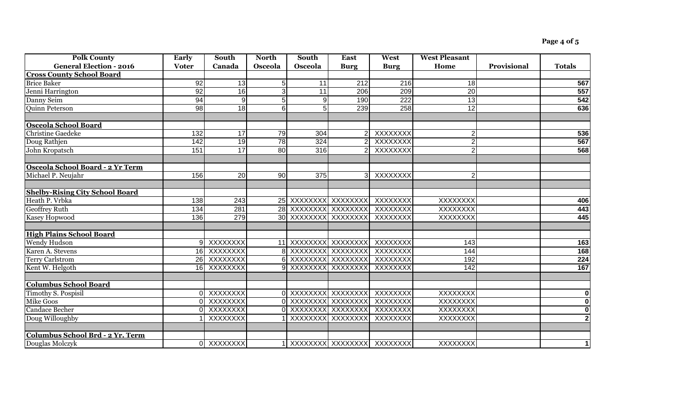| <b>Polk County</b>                     | Early           | South            | <b>North</b>   | <b>South</b>         | <b>East</b>                  | West             | <b>West Pleasant</b> |             |                         |
|----------------------------------------|-----------------|------------------|----------------|----------------------|------------------------------|------------------|----------------------|-------------|-------------------------|
| <b>General Election - 2016</b>         | <b>Voter</b>    | Canada           | Osceola        | Osceola              | <b>Burg</b>                  | <b>Burg</b>      | Home                 | Provisional | <b>Totals</b>           |
| <b>Cross County School Board</b>       |                 |                  |                |                      |                              |                  |                      |             |                         |
| <b>Brice Baker</b>                     | $\overline{92}$ | 13               | 51             | 11                   | $\overline{212}$             | 216              | 18                   |             | 567                     |
| Jenni Harrington                       | 92              | $\overline{16}$  | 3              | $\overline{11}$      | 206                          | $\overline{209}$ | $\overline{20}$      |             | 557                     |
| Danny Seim                             | $\overline{94}$ | 9                | $\overline{5}$ | $\mathbf{Q}$         | 190                          | 222              | 13                   |             | 542                     |
| <b>Quinn Peterson</b>                  | 98              | 18               | 61             | 5                    | 239                          | 258              | 12                   |             | 636                     |
| <b>Osceola School Board</b>            |                 |                  |                |                      |                              |                  |                      |             |                         |
| <b>Christine Gaedeke</b>               | 132             | 17               | 79             | 304                  |                              | XXXXXXX          | $\overline{2}$       |             | 536                     |
| Doug Rathjen                           | 142             | 19               | 78             | 324                  |                              | XXXXXXX          | $\overline{2}$       |             | 567                     |
| John Kropatsch                         | 151             | 17               | 80             | 316                  | $\overline{2}$               | XXXXXXX          | $\overline{2}$       |             | 568                     |
| Osceola School Board - 2 Yr Term       |                 |                  |                |                      |                              |                  |                      |             |                         |
| Michael P. Neujahr                     | 156             | $\overline{20}$  | 90             | $\overline{375}$     | 3 <sup>l</sup>               | XXXXXXXX         | $\overline{2}$       |             |                         |
| <b>Shelby-Rising City School Board</b> |                 |                  |                |                      |                              |                  |                      |             |                         |
| Heath P. Vrbka                         | 138             | $\overline{243}$ |                | 25 XXXXXXXX XXXXXXX  |                              | XXXXXXX          | XXXXXXX              |             | 406                     |
| <b>Geoffrey Ruth</b>                   | 134             | 281              |                | 28 XXXXXXXX XXXXXXXX |                              | XXXXXXX          | XXXXXXX              |             | 443                     |
| Kasey Hopwood                          | 136             | 279              |                | 30 XXXXXXXX XXXXXXX  |                              | XXXXXXX          | <b>XXXXXXXX</b>      |             | 445                     |
| <b>High Plains School Board</b>        |                 |                  |                |                      |                              |                  |                      |             |                         |
| <b>Wendy Hudson</b>                    |                 | 9 XXXXXXXX       |                | 11 XXXXXXXX XXXXXXXX |                              | XXXXXXX          | 143                  |             | 163                     |
| Karen A. Stevens                       |                 | 16 XXXXXXXX      |                | 8 XXXXXXXX XXXXXXXX  |                              | XXXXXXX          | 144                  |             | 168                     |
| <b>Terry Carlstrom</b>                 |                 | 26 XXXXXXXX      |                | 6 XXXXXXXX XXXXXXXX  |                              | XXXXXXX          | 192                  |             | 224                     |
| Kent W. Helgoth                        |                 | 16 XXXXXXXX      |                | 9 XXXXXXXX XXXXXXXX  |                              | XXXXXXXX         | 142                  |             | 167                     |
| <b>Columbus School Board</b>           |                 |                  |                |                      |                              |                  |                      |             |                         |
| <b>Timothy S. Pospisil</b>             |                 | 0 XXXXXXXX       |                | 0 XXXXXXXX XXXXXXXX  |                              | XXXXXXX          | <b>XXXXXXXX</b>      |             | 0                       |
| <b>Mike Goos</b>                       |                 | XXXXXXX          |                |                      | XXXXXXXX XXXXXXXX            | XXXXXXX          | XXXXXXXX             |             | 0                       |
| <b>Candace Becher</b>                  | ΩL              | XXXXXXX          |                | 0 XXXXXXXX XXXXXXXX  |                              | XXXXXXX          | <b>XXXXXXXX</b>      |             | $\overline{\mathbf{o}}$ |
| Doug Willoughby                        |                 | XXXXXXX          |                |                      | XXXXXXXX XXXXXXXX            | XXXXXXXX         | <b>XXXXXXXX</b>      |             | $\overline{2}$          |
| Columbus School Brd - 2 Yr. Term       |                 |                  |                |                      |                              |                  |                      |             |                         |
| Douglas Molczyk                        |                 | 0 XXXXXXXX       |                |                      | 1 XXXXXXXX XXXXXXXX XXXXXXXX |                  | <b>XXXXXXXX</b>      |             | $\mathbf 1$             |